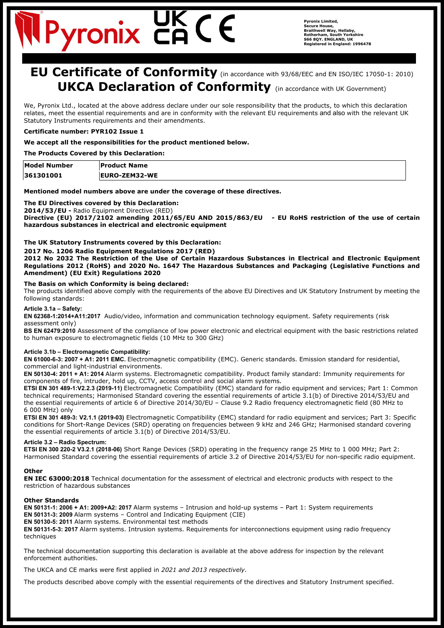# Pyronix C

# **EU Certificate of Conformity** (in accordance with 93/68/EEC and EN ISO/IEC 17050-1: 2010) **UKCA Declaration of Conformity** (in accordance with UK Government)

We, Pyronix Ltd., located at the above address declare under our sole responsibility that the products, to which this declaration relates, meet the essential requirements and are in conformity with the relevant EU requirements and also with the relevant UK Statutory Instruments requirements and their amendments.

# **Certificate number: PYR102 Issue 1**

# **We accept all the responsibilities for the product mentioned below.**

**The Products Covered by this Declaration:**

| Model Number | <b>Product Name</b>  |
|--------------|----------------------|
| 361301001    | <b>EURO-ZEM32-WE</b> |

# **Mentioned model numbers above are under the coverage of these directives.**

# **The EU Directives covered by this Declaration:**

**2014/53/EU -** Radio Equipment Directive (RED)

**Directive (EU) 2017/2102 amending 2011/65/EU AND 2015/863/EU - EU RoHS restriction of the use of certain hazardous substances in electrical and electronic equipment**

# **The UK Statutory Instruments covered by this Declaration:**

**2017 No. 1206 Radio Equipment Regulations 2017 (RED)**

**2012 No 2032 The Restriction of the Use of Certain Hazardous Substances in Electrical and Electronic Equipment Regulations 2012 (RoHS) and 2020 No. 1647 The Hazardous Substances and Packaging (Legislative Functions and Amendment) (EU Exit) Regulations 2020**

# **The Basis on which Conformity is being declared:**

The products identified above comply with the requirements of the above EU Directives and UK Statutory Instrument by meeting the following standards:

#### **Article 3.1a – Safety:**

**EN 62368-1:2014+A11:2017** Audio/video, information and communication technology equipment. Safety requirements (risk assessment only)

**BS EN 62479:2010** Assessment of the compliance of low power electronic and electrical equipment with the basic restrictions related to human exposure to electromagnetic fields (10 MHz to 300 GHz)

# **Article 3.1b – Electromagnetic Compatibility:**

**EN 61000-6-3: 2007 + A1: 2011 EMC.** Electromagnetic compatibility (EMC). Generic standards. Emission standard for residential, commercial and light-industrial environments.

**EN 50130-4: 2011 + A1: 2014** Alarm systems. Electromagnetic compatibility. Product family standard: Immunity requirements for components of fire, intruder, hold up, CCTV, access control and social alarm systems**.**

**ETSI EN 301 489-1:V2.2.3 (2019-11)** Electromagnetic Compatibility (EMC) standard for radio equipment and services; Part 1: Common technical requirements; Harmonised Standard covering the essential requirements of article 3.1(b) of Directive 2014/53/EU and the essential requirements of article 6 of Directive 2014/30/EU – Clause 9.2 Radio frequency electromagnetic field (80 MHz to 6 000 MHz) only

**ETSI EN 301 489-3: V2.1.1 (2019-03)** Electromagnetic Compatibility (EMC) standard for radio equipment and services; Part 3: Specific conditions for Short-Range Devices (SRD) operating on frequencies between 9 kHz and 246 GHz; Harmonised standard covering the essential requirements of article 3.1(b) of Directive 2014/53/EU.

# **Article 3.2 – Radio Spectrum:**

**ETSI EN 300 220-2 V3.2.1 (2018-06)** Short Range Devices (SRD) operating in the frequency range 25 MHz to 1 000 MHz; Part 2: Harmonised Standard covering the essential requirements of article 3.2 of Directive 2014/53/EU for non-specific radio equipment.

# **Other**

**EN IEC 63000:2018** Technical documentation for the assessment of electrical and electronic products with respect to the restriction of hazardous substances

# **Other Standards**

**EN 50131-1: 2006 + A1: 2009+A2: 2017** Alarm systems – Intrusion and hold-up systems – Part 1: System requirements **EN 50131-3: 2009** Alarm systems – Control and Indicating Equipment (CIE)

**EN 50130-5: 2011** Alarm systems. Environmental test methods

**EN 50131-5-3: 2017** Alarm systems. Intrusion systems. Requirements for interconnections equipment using radio frequency techniques

The technical documentation supporting this declaration is available at the above address for inspection by the relevant enforcement authorities.

The UKCA and CE marks were first applied in *2021 and 2013 respectively.*

The products described above comply with the essential requirements of the directives and Statutory Instrument specified.